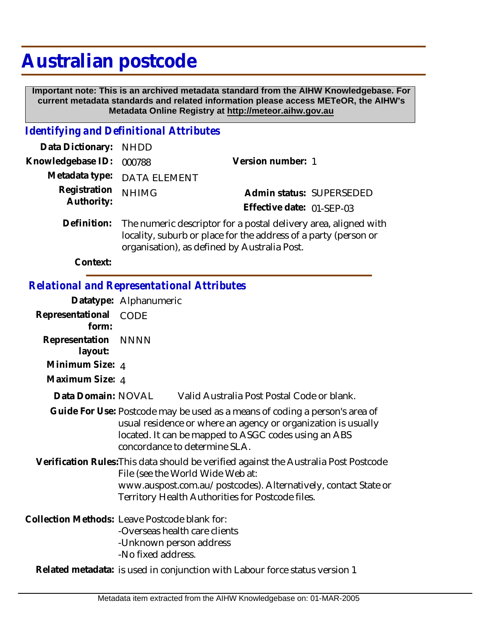## **Australian postcode**

 **Important note: This is an archived metadata standard from the AIHW Knowledgebase. For current metadata standards and related information please access METeOR, the AIHW's Metadata Online Registry at http://meteor.aihw.gov.au**

## *Identifying and Definitional Attributes*

| Data Dictionary: NHDD    |                                                                                                                                                                                                |                           |
|--------------------------|------------------------------------------------------------------------------------------------------------------------------------------------------------------------------------------------|---------------------------|
| Knowledgebase ID: 000788 |                                                                                                                                                                                                | Version number: 1         |
|                          | Metadata type: DATA ELEMENT                                                                                                                                                                    |                           |
| Registration             | <b>NHIMG</b>                                                                                                                                                                                   | Admin status: SUPERSEDED  |
| Authority:               |                                                                                                                                                                                                | Effective date: 01-SEP-03 |
|                          | Definition: The numeric descriptor for a postal delivery area, aligned with<br>locality, suburb or place for the address of a party (person or<br>organisation), as defined by Australia Post. |                           |

**Context:**

## *Relational and Representational Attributes*

|                                | Datatype: Alphanumeric                                                                                                                                                                                                                         |
|--------------------------------|------------------------------------------------------------------------------------------------------------------------------------------------------------------------------------------------------------------------------------------------|
| Representational CODE<br>form: |                                                                                                                                                                                                                                                |
| Representation NNNN<br>layout: |                                                                                                                                                                                                                                                |
| Minimum Size: 4                |                                                                                                                                                                                                                                                |
| Maximum Size: 4                |                                                                                                                                                                                                                                                |
| Data Domain: NOVAL             | Valid Australia Post Postal Code or blank.                                                                                                                                                                                                     |
|                                | Guide For Use: Postcode may be used as a means of coding a person's area of<br>usual residence or where an agency or organization is usually<br>located. It can be mapped to ASGC codes using an ABS<br>concordance to determine SLA.          |
|                                | Verification Rules: This data should be verified against the Australia Post Postcode<br>File (see the World Wide Web at:<br>www.auspost.com.au/postcodes). Alternatively, contact State or<br>Territory Health Authorities for Postcode files. |
|                                | Collection Methods: Leave Postcode blank for:<br>-Overseas health care clients<br>-Unknown person address<br>-No fixed address.                                                                                                                |
|                                | Related metadata: is used in conjunction with Labour force status version 1                                                                                                                                                                    |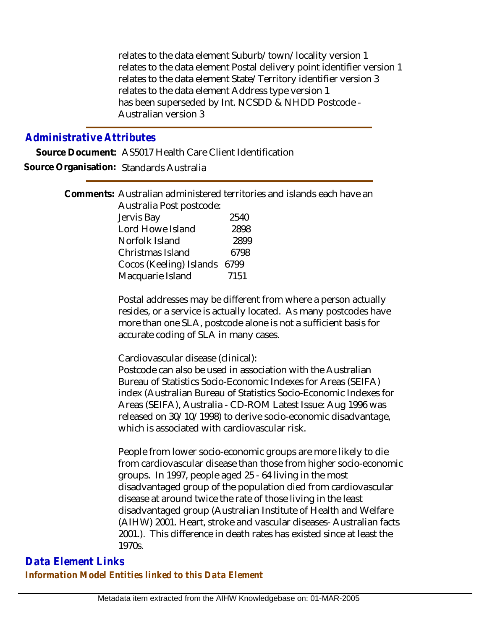relates to the data element Suburb/town/locality version 1 relates to the data element Postal delivery point identifier version 1 relates to the data element State/Territory identifier version 3 relates to the data element Address type version 1 has been superseded by Int. NCSDD & NHDD Postcode - Australian version 3

## *Administrative Attributes*

**Source Document:** AS5017 Health Care Client Identification **Source Organisation:** Standards Australia

> Comments: Australian administered territories and islands each have an Australia Post postcode: Jervis Bay 2540 Lord Howe Island 2898 Norfolk Island 2899 Christmas Island 6798 Cocos (Keeling) Islands 6799 Macquarie Island 7151

> > Postal addresses may be different from where a person actually resides, or a service is actually located. As many postcodes have more than one SLA, postcode alone is not a sufficient basis for accurate coding of SLA in many cases.

Cardiovascular disease (clinical):

Postcode can also be used in association with the Australian Bureau of Statistics Socio-Economic Indexes for Areas (SEIFA) index (Australian Bureau of Statistics Socio-Economic Indexes for Areas (SEIFA), Australia - CD-ROM Latest Issue: Aug 1996 was released on 30/10/1998) to derive socio-economic disadvantage, which is associated with cardiovascular risk.

People from lower socio-economic groups are more likely to die from cardiovascular disease than those from higher socio-economic groups. In 1997, people aged 25 - 64 living in the most disadvantaged group of the population died from cardiovascular disease at around twice the rate of those living in the least disadvantaged group (Australian Institute of Health and Welfare (AIHW) 2001. Heart, stroke and vascular diseases- Australian facts 2001.). This difference in death rates has existed since at least the 1970s.

*Data Element Links Information Model Entities linked to this Data Element*